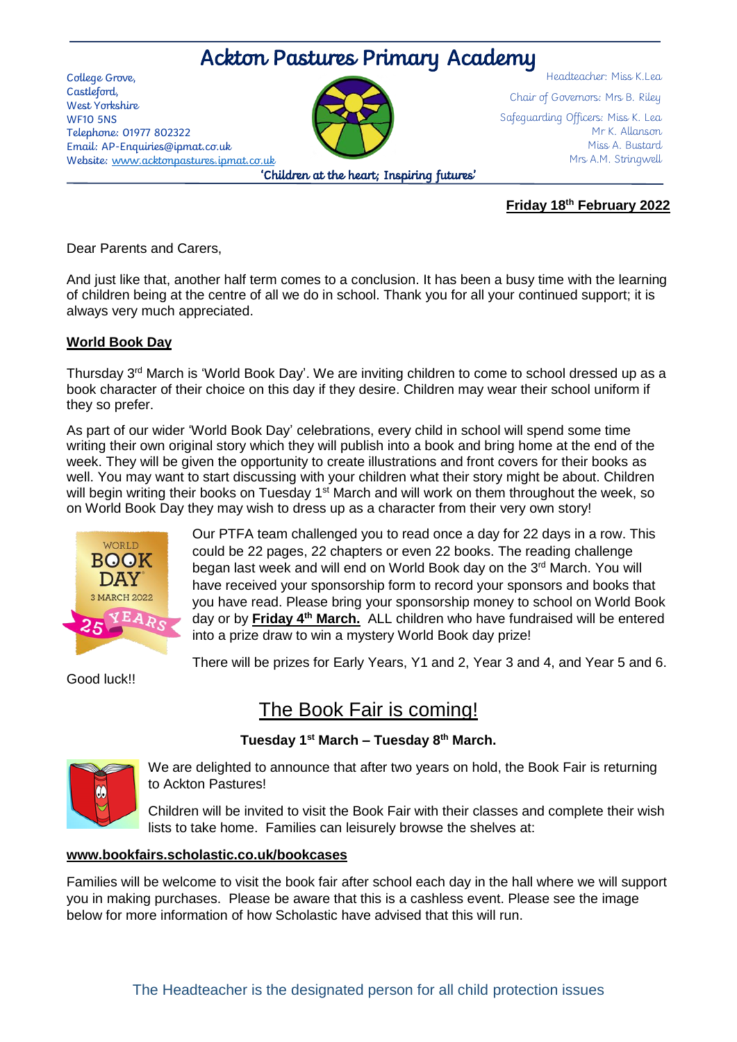# Ackton Pastures Primary Academy

College Grove, Castleford, West Yorkshire WF10 5NS Telephone: 01977 802322 Email: AP-Enquiries@ipmat.co.uk Website: [www.acktonpastures.ipmat.co.uk](http://www.acktonpastures.ipmat.co.uk/)



Headteacher: Miss K.Lea Chair of Governors: Mrs B. Riley Safeguarding Officers: Miss K. Lea Mr K. Allanson Miss A. Bustard Mrs A.M. Stringwell

### **Friday 18th February 2022**

Dear Parents and Carers,

And just like that, another half term comes to a conclusion. It has been a busy time with the learning of children being at the centre of all we do in school. Thank you for all your continued support; it is always very much appreciated.

# **World Book Day**

Thursday 3<sup>rd</sup> March is 'World Book Day'. We are inviting children to come to school dressed up as a book character of their choice on this day if they desire. Children may wear their school uniform if they so prefer.

As part of our wider 'World Book Day' celebrations, every child in school will spend some time writing their own original story which they will publish into a book and bring home at the end of the week. They will be given the opportunity to create illustrations and front covers for their books as well. You may want to start discussing with your children what their story might be about. Children will begin writing their books on Tuesday 1<sup>st</sup> March and will work on them throughout the week, so on World Book Day they may wish to dress up as a character from their very own story!



Our PTFA team challenged you to read once a day for 22 days in a row. This could be 22 pages, 22 chapters or even 22 books. The reading challenge began last week and will end on World Book day on the 3<sup>rd</sup> March. You will have received your sponsorship form to record your sponsors and books that you have read. Please bring your sponsorship money to school on World Book day or by **Friday 4th March.** ALL children who have fundraised will be entered into a prize draw to win a mystery World Book day prize!

There will be prizes for Early Years, Y1 and 2, Year 3 and 4, and Year 5 and 6.

Good luck!!

# The Book Fair is coming!

# **Tuesday 1st March – Tuesday 8th March.**



We are delighted to announce that after two years on hold, the Book Fair is returning to Ackton Pastures!

Children will be invited to visit the Book Fair with their classes and complete their wish lists to take home. Families can leisurely browse the shelves at:

#### **[www.bookfairs.scholastic.co.uk/bookcases](http://www.bookfairs.scholastic.co.uk/bookcases)**

Families will be welcome to visit the book fair after school each day in the hall where we will support you in making purchases. Please be aware that this is a cashless event. Please see the image below for more information of how Scholastic have advised that this will run.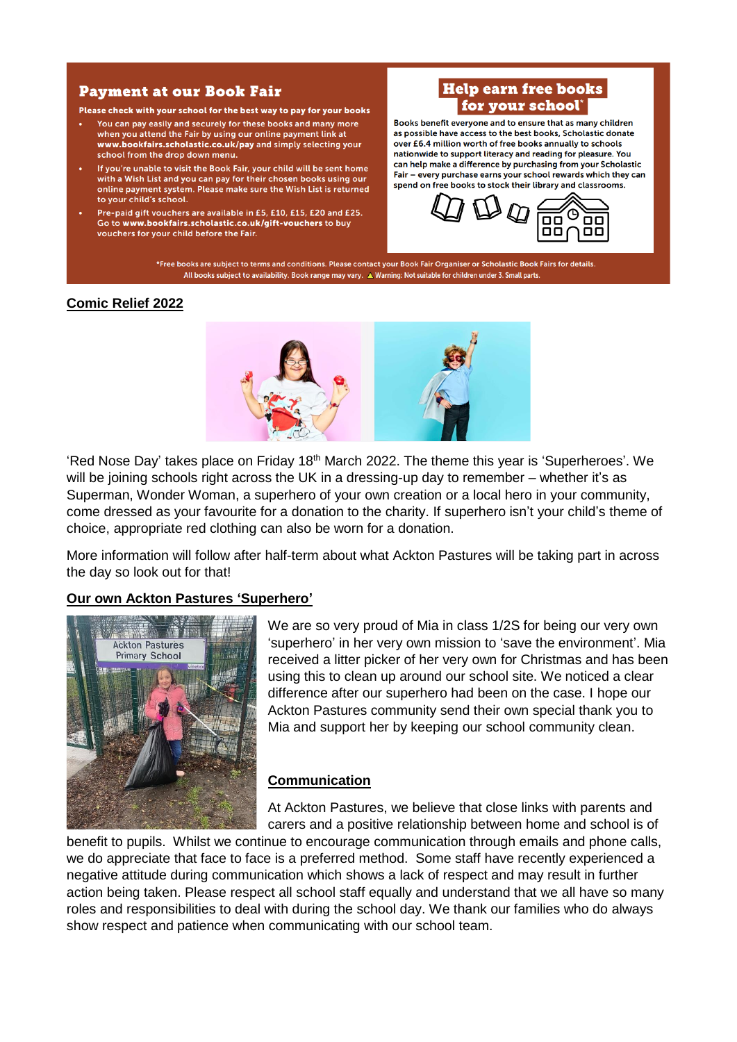#### **Payment at our Book Fair**

Please check with your school for the best way to pay for your books

- You can pay easily and securely for these books and many more when you attend the Fair by using our online payment link at www.bookfairs.scholastic.co.uk/pay and simply selecting your school from the drop down menu.
- If you're unable to visit the Book Fair, your child will be sent home with a Wish List and you can pay for their chosen books using our online payment system. Please make sure the Wish List is returned to your child's school.
- Pre-paid gift vouchers are available in £5, £10, £15, £20 and £25. Go to www.bookfairs.scholastic.co.uk/gift-vouchers to buy vouchers for your child before the Fair.

# **Help earn free books** for your school\*

Books benefit everyone and to ensure that as many children as possible have access to the best books. Scholastic donate over £6.4 million worth of free books annually to schools nationwide to support literacy and reading for pleasure. You can help make a difference by purchasing from your Scholastic Fair - every purchase earns your school rewards which they can spend on free books to stock their library and classrooms.



\*Free books are subject to terms and conditions. Please contact your Book Fair Organiser or Scholastic Book Fairs for details. All books subject to availability. Book range may vary. A Warning: Not suitable for children under 3. Small parts.

#### **Comic Relief 2022**



'Red Nose Day' takes place on Friday 18<sup>th</sup> March 2022. The theme this year is 'Superheroes'. We will be joining schools right across the UK in a dressing-up day to remember – whether it's as Superman, Wonder Woman, a superhero of your own creation or a local hero in your community, come dressed as your favourite for a donation to the charity. If superhero isn't your child's theme of choice, appropriate red clothing can also be worn for a donation.

More information will follow after half-term about what Ackton Pastures will be taking part in across the day so look out for that!

#### **Our own Ackton Pastures 'Superhero'**



We are so very proud of Mia in class 1/2S for being our very own 'superhero' in her very own mission to 'save the environment'. Mia received a litter picker of her very own for Christmas and has been using this to clean up around our school site. We noticed a clear difference after our superhero had been on the case. I hope our Ackton Pastures community send their own special thank you to Mia and support her by keeping our school community clean.

#### **Communication**

At Ackton Pastures, we believe that close links with parents and carers and a positive relationship between home and school is of

benefit to pupils. Whilst we continue to encourage communication through emails and phone calls, we do appreciate that face to face is a preferred method. Some staff have recently experienced a negative attitude during communication which shows a lack of respect and may result in further action being taken. Please respect all school staff equally and understand that we all have so many roles and responsibilities to deal with during the school day. We thank our families who do always show respect and patience when communicating with our school team.